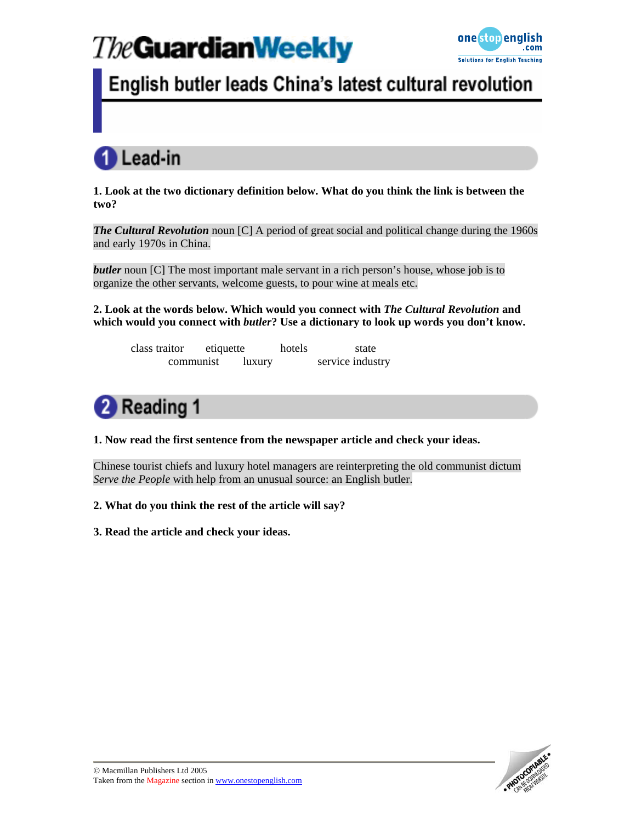

## English butler leads China's latest cultural revolution



**1. Look at the two dictionary definition below. What do you think the link is between the two?** 

*The Cultural Revolution* noun [C] A period of great social and political change during the 1960s and early 1970s in China.

*butler* noun [C] The most important male servant in a rich person's house, whose job is to organize the other servants, welcome guests, to pour wine at meals etc.

**2. Look at the words below. Which would you connect with** *The Cultural Revolution* **and which would you connect with** *butler***? Use a dictionary to look up words you don't know.** 

class traitor etiquette hotels state communist luxury service industry



**1. Now read the first sentence from the newspaper article and check your ideas.** 

Chinese tourist chiefs and luxury hotel managers are reinterpreting the old communist dictum *Serve the People* with help from an unusual source: an English butler.

**2. What do you think the rest of the article will say?** 

**3. Read the article and check your ideas.** 

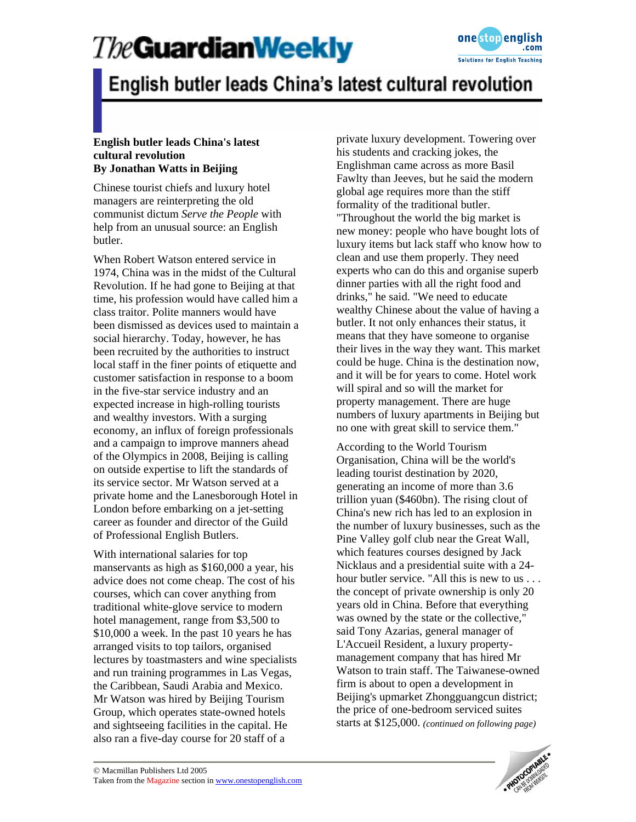

## English butler leads China's latest cultural revolution

#### **English butler leads China's latest cultural revolution By Jonathan Watts in Beijing**

Chinese tourist chiefs and luxury hotel managers are reinterpreting the old communist dictum *Serve the People* with help from an unusual source: an English butler.

When Robert Watson entered service in 1974, China was in the midst of the Cultural Revolution. If he had gone to Beijing at that time, his profession would have called him a class traitor. Polite manners would have been dismissed as devices used to maintain a social hierarchy. Today, however, he has been recruited by the authorities to instruct local staff in the finer points of etiquette and customer satisfaction in response to a boom in the five-star service industry and an expected increase in high-rolling tourists and wealthy investors. With a surging economy, an influx of foreign professionals and a campaign to improve manners ahead of the Olympics in 2008, Beijing is calling on outside expertise to lift the standards of its service sector. Mr Watson served at a private home and the Lanesborough Hotel in London before embarking on a jet-setting career as founder and director of the Guild of Professional English Butlers.

With international salaries for top manservants as high as \$160,000 a year, his advice does not come cheap. The cost of his courses, which can cover anything from traditional white-glove service to modern hotel management, range from \$3,500 to \$10,000 a week. In the past 10 years he has arranged visits to top tailors, organised lectures by toastmasters and wine specialists and run training programmes in Las Vegas, the Caribbean, Saudi Arabia and Mexico. Mr Watson was hired by Beijing Tourism Group, which operates state-owned hotels and sightseeing facilities in the capital. He also ran a five-day course for 20 staff of a

private luxury development. Towering over his students and cracking jokes, the Englishman came across as more Basil Fawlty than Jeeves, but he said the modern global age requires more than the stiff formality of the traditional butler. "Throughout the world the big market is new money: people who have bought lots of luxury items but lack staff who know how to clean and use them properly. They need experts who can do this and organise superb dinner parties with all the right food and drinks," he said. "We need to educate wealthy Chinese about the value of having a butler. It not only enhances their status, it means that they have someone to organise their lives in the way they want. This market could be huge. China is the destination now, and it will be for years to come. Hotel work will spiral and so will the market for property management. There are huge numbers of luxury apartments in Beijing but no one with great skill to service them."

According to the World Tourism Organisation, China will be the world's leading tourist destination by 2020, generating an income of more than 3.6 trillion yuan (\$460bn). The rising clout of China's new rich has led to an explosion in the number of luxury businesses, such as the Pine Valley golf club near the Great Wall, which features courses designed by Jack Nicklaus and a presidential suite with a 24 hour butler service. "All this is new to us . . . the concept of private ownership is only 20 years old in China. Before that everything was owned by the state or the collective," said Tony Azarias, general manager of L'Accueil Resident, a luxury propertymanagement company that has hired Mr Watson to train staff. The Taiwanese-owned firm is about to open a development in Beijing's upmarket Zhongguangcun district; the price of one-bedroom serviced suites starts at \$125,000. *(continued on following page)* 

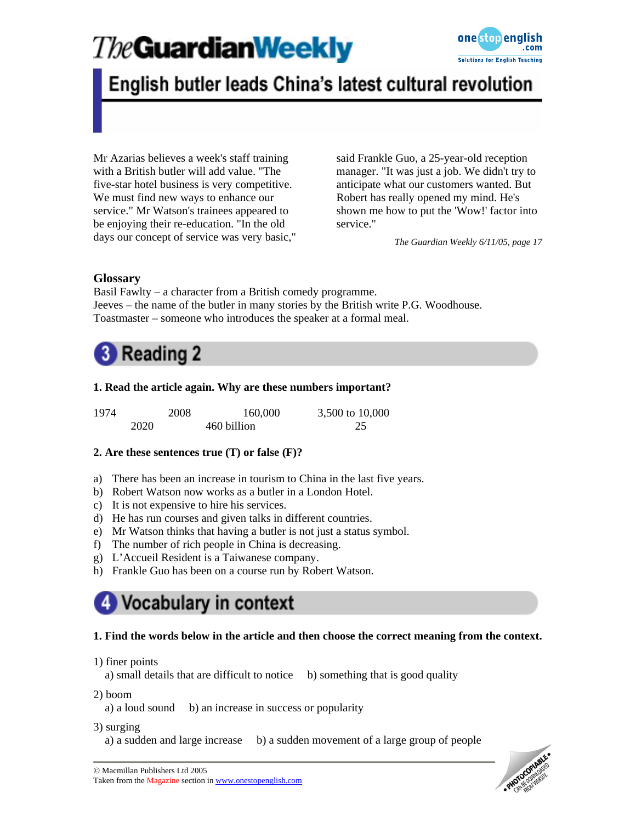

### English butler leads China's latest cultural revolution

Mr Azarias believes a week's staff training with a British butler will add value. "The five-star hotel business is very competitive. We must find new ways to enhance our service." Mr Watson's trainees appeared to be enjoying their re-education. "In the old days our concept of service was very basic," said Frankle Guo, a 25-year-old reception manager. "It was just a job. We didn't try to anticipate what our customers wanted. But Robert has really opened my mind. He's shown me how to put the 'Wow!' factor into service."

*The Guardian Weekly 6/11/05, page 17*

### **Glossary**

Basil Fawlty – a character from a British comedy programme. Jeeves – the name of the butler in many stories by the British write P.G. Woodhouse. Toastmaster – someone who introduces the speaker at a formal meal.



### **1. Read the article again. Why are these numbers important?**

| 1974 |      | 2008 | 160,000     | 3,500 to 10,000 |
|------|------|------|-------------|-----------------|
|      | 2020 |      | 460 billion |                 |

### **2. Are these sentences true (T) or false (F)?**

- a) There has been an increase in tourism to China in the last five years.
- b) Robert Watson now works as a butler in a London Hotel.
- c) It is not expensive to hire his services.
- d) He has run courses and given talks in different countries.
- e) Mr Watson thinks that having a butler is not just a status symbol.
- f) The number of rich people in China is decreasing.
- g) L'Accueil Resident is a Taiwanese company.
- h) Frankle Guo has been on a course run by Robert Watson.

## Vocabulary in context

#### **1. Find the words below in the article and then choose the correct meaning from the context.**

#### 1) finer points

a) small details that are difficult to notice b) something that is good quality

2) boom

a) a loud sound b) an increase in success or popularity

3) surging

a) a sudden and large increase b) a sudden movement of a large group of people